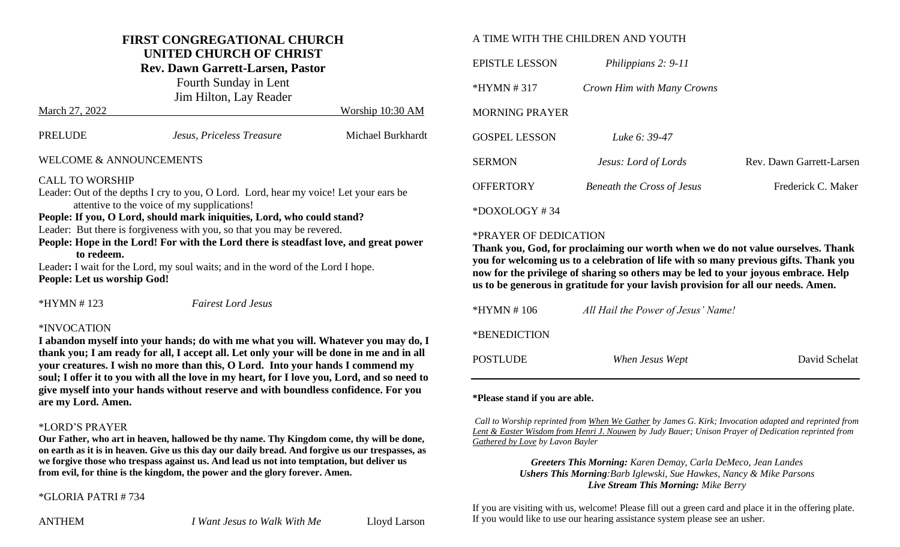#### **FIRST CONGREGATIONAL CHURCH UNITED CHURCH OF CHRIST**

**Rev. Dawn Garrett-Larsen, Pastor**

Fourth Sunday in Lent Jim Hilton, Lay Reader March 27, 2022 Worship 10:30 AM

| PRELUDE                                                               | Jesus, Priceless Treasure                                                                                                                                       | Michael Burkhardt |
|-----------------------------------------------------------------------|-----------------------------------------------------------------------------------------------------------------------------------------------------------------|-------------------|
| <b>WELCOME &amp; ANNOUNCEMENTS</b>                                    |                                                                                                                                                                 |                   |
| <b>CALL TO WORSHIP</b><br>attentive to the voice of my supplications! | Leader: Out of the depths I cry to you, O Lord. Lord, hear my voice! Let your ears be<br>People: If you, O Lord, should mark iniquities, Lord, who could stand? |                   |

Leader: But there is forgiveness with you, so that you may be revered.

**People: Hope in the Lord! For with the Lord there is steadfast love, and great power to redeem.** 

Leader: I wait for the Lord, my soul waits; and in the word of the Lord I hope. **People: Let us worship God!**

\*HYMN # 123 *Fairest Lord Jesus*

#### \*INVOCATION

**I abandon myself into your hands; do with me what you will. Whatever you may do, I thank you; I am ready for all, I accept all. Let only your will be done in me and in all your creatures. I wish no more than this, O Lord. Into your hands I commend my soul; I offer it to you with all the love in my heart, for I love you, Lord, and so need to give myself into your hands without reserve and with boundless confidence. For you are my Lord. Amen.**

#### \*LORD'S PRAYER

**Our Father, who art in heaven, hallowed be thy name. Thy Kingdom come, thy will be done, on earth as it is in heaven. Give us this day our daily bread. And forgive us our trespasses, as we forgive those who trespass against us. And lead us not into temptation, but deliver us from evil, for thine is the kingdom, the power and the glory forever. Amen.**

### \*GLORIA PATRI # 734

#### A TIME WITH THE CHILDREN AND YOUTH

| <b>EPISTLE LESSON</b> | Philippians 2: 9-11               |                          |
|-----------------------|-----------------------------------|--------------------------|
| *HYMN # 317           | Crown Him with Many Crowns        |                          |
| MORNING PRAYER        |                                   |                          |
| <b>GOSPEL LESSON</b>  | Luke 6: 39-47                     |                          |
| <b>SERMON</b>         | Jesus: Lord of Lords              | Rev. Dawn Garrett-Larsen |
| <b>OFFERTORY</b>      | <b>Beneath the Cross of Jesus</b> | Frederick C. Maker       |
|                       |                                   |                          |

\*DOXOLOGY # 34

#### \*PRAYER OF DEDICATION

**Thank you, God, for proclaiming our worth when we do not value ourselves. Thank you for welcoming us to a celebration of life with so many previous gifts. Thank you now for the privilege of sharing so others may be led to your joyous embrace. Help us to be generous in gratitude for your lavish provision for all our needs. Amen.** 

| $*HYMN \# 106$  | All Hail the Power of Jesus' Name! |               |
|-----------------|------------------------------------|---------------|
| *BENEDICTION    |                                    |               |
| <b>POSTLUDE</b> | When Jesus Wept                    | David Schelat |

#### **\*Please stand if you are able.**

*Call to Worship reprinted from When We Gather by James G. Kirk; Invocation adapted and reprinted from Lent & Easter Wisdom from Henri J. Nouwen by Judy Bauer; Unison Prayer of Dedication reprinted from Gathered by Love by Lavon Bayler*

> *Greeters This Morning: Karen Demay, Carla DeMeco, Jean Landes Ushers This Morning:Barb Iglewski, Sue Hawkes, Nancy & Mike Parsons Live Stream This Morning: Mike Berry*

If you are visiting with us, welcome! Please fill out a green card and place it in the offering plate. If you would like to use our hearing assistance system please see an usher.